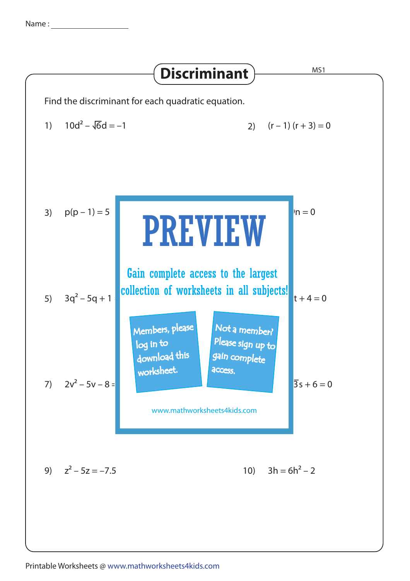Name : <u>\_\_\_\_\_\_\_\_\_\_\_</u>